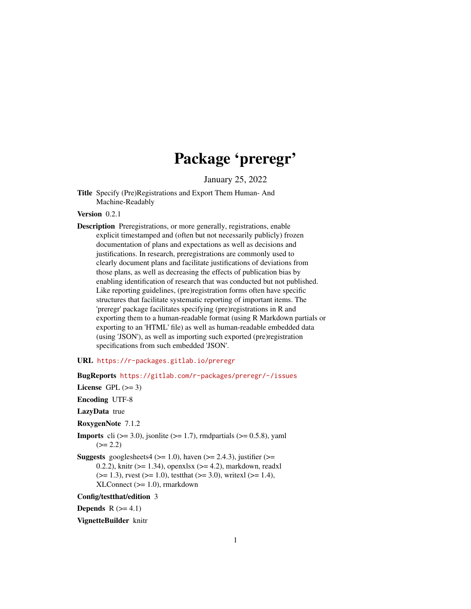# Package 'preregr'

January 25, 2022

<span id="page-0-0"></span>Title Specify (Pre)Registrations and Export Them Human- And Machine-Readably

Version 0.2.1

Description Preregistrations, or more generally, registrations, enable explicit timestamped and (often but not necessarily publicly) frozen documentation of plans and expectations as well as decisions and justifications. In research, preregistrations are commonly used to clearly document plans and facilitate justifications of deviations from those plans, as well as decreasing the effects of publication bias by enabling identification of research that was conducted but not published. Like reporting guidelines, (pre)registration forms often have specific structures that facilitate systematic reporting of important items. The 'preregr' package facilitates specifying (pre)registrations in R and exporting them to a human-readable format (using R Markdown partials or exporting to an 'HTML' file) as well as human-readable embedded data (using 'JSON'), as well as importing such exported (pre)registration specifications from such embedded 'JSON'.

URL <https://r-packages.gitlab.io/preregr>

BugReports <https://gitlab.com/r-packages/preregr/-/issues>

License GPL  $(>= 3)$ 

Encoding UTF-8

LazyData true

RoxygenNote 7.1.2

**Imports** cli  $(>= 3.0)$ , jsonlite  $(>= 1.7)$ , rmdpartials  $(>= 0.5.8)$ , yaml  $(>= 2.2)$ 

**Suggests** googlesheets4 ( $>= 1.0$ ), haven ( $>= 2.4.3$ ), justifier ( $>=$ 0.2.2), knitr ( $> = 1.34$ ), openxlsx ( $> = 4.2$ ), markdown, readxl  $(>= 1.3)$ , rvest  $(>= 1.0)$ , test that  $(>= 3.0)$ , writex  $(>= 1.4)$ ,  $XLConnect (> = 1.0)$ , rmarkdown

Config/testthat/edition 3

**Depends**  $R$  ( $>= 4.1$ )

#### VignetteBuilder knitr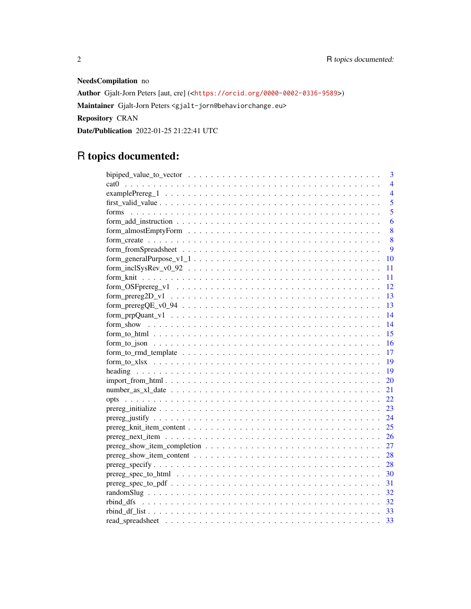# NeedsCompilation no

Author Gjalt-Jorn Peters [aut, cre] (<<https://orcid.org/0000-0002-0336-9589>>) Maintainer Gjalt-Jorn Peters <gjalt-jorn@behaviorchange.eu> Repository CRAN Date/Publication 2022-01-25 21:22:41 UTC

# R topics documented:

| 3                                                                                                         |
|-----------------------------------------------------------------------------------------------------------|
| $\overline{\mathcal{A}}$                                                                                  |
| $\overline{4}$                                                                                            |
| 5                                                                                                         |
| 5                                                                                                         |
| 6                                                                                                         |
| 8                                                                                                         |
| 8                                                                                                         |
| 9                                                                                                         |
| 10                                                                                                        |
| $form\_incISysRev_v0_92 \ldots \ldots \ldots \ldots \ldots \ldots \ldots \ldots \ldots \ldots$<br>11      |
| 11                                                                                                        |
| 12                                                                                                        |
| 13                                                                                                        |
| $form\_preregQE_v0_94 \ldots \ldots \ldots \ldots \ldots \ldots \ldots \ldots \ldots \ldots \ldots$<br>13 |
| 14                                                                                                        |
| 14                                                                                                        |
| 15                                                                                                        |
| 16                                                                                                        |
| 17                                                                                                        |
| 19                                                                                                        |
| 19                                                                                                        |
| 20                                                                                                        |
| 21                                                                                                        |
| 22                                                                                                        |
| 23                                                                                                        |
| 24                                                                                                        |
| 25                                                                                                        |
| 26                                                                                                        |
| 27                                                                                                        |
| 28                                                                                                        |
| 28                                                                                                        |
| 30                                                                                                        |
| 31                                                                                                        |
| 32                                                                                                        |
| -32                                                                                                       |
| -33                                                                                                       |
| 33                                                                                                        |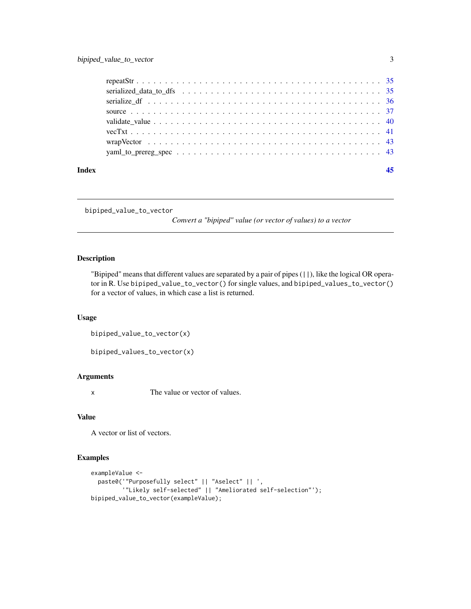<span id="page-2-0"></span>

| Index |  |
|-------|--|
|       |  |
|       |  |
|       |  |
|       |  |
|       |  |
|       |  |
|       |  |
|       |  |

```
bipiped_value_to_vector
```
*Convert a "bipiped" value (or vector of values) to a vector*

# Description

"Bipiped" means that different values are separated by a pair of pipes (||), like the logical OR operator in R. Use bipiped\_value\_to\_vector() for single values, and bipiped\_values\_to\_vector() for a vector of values, in which case a list is returned.

#### Usage

```
bipiped_value_to_vector(x)
```
bipiped\_values\_to\_vector(x)

# Arguments

x The value or vector of values.

# Value

A vector or list of vectors.

```
exampleValue <-
 paste0('"Purposefully select" || "Aselect" || ',
         '"Likely self-selected" || "Ameliorated self-selection"');
bipiped_value_to_vector(exampleValue);
```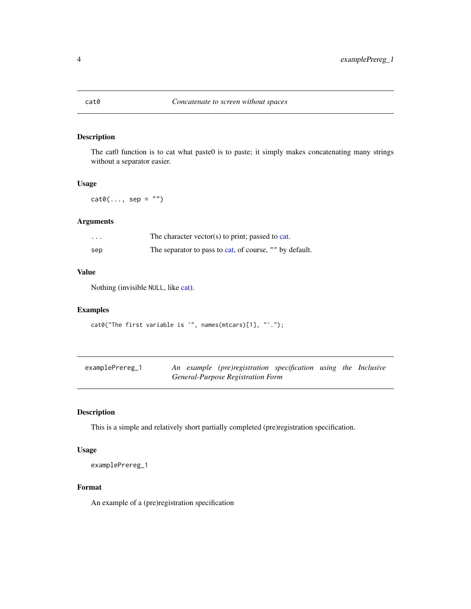<span id="page-3-0"></span>

## Description

The cat0 function is to cat what paste0 is to paste; it simply makes concatenating many strings without a separator easier.

#### Usage

 $cat0(..., sep = "")$ 

#### Arguments

| $\cdots$ | The character vector(s) to print; passed to cat.        |
|----------|---------------------------------------------------------|
| sep      | The separator to pass to cat, of course, "" by default. |

## Value

Nothing (invisible NULL, like [cat\)](#page-0-0).

## Examples

```
cat0("The first variable is '", names(mtcars)[1], "'.");
```

| examplePrereg_1                   |  |  | An example (pre)registration specification using the Inclusive |  |  |  |  |
|-----------------------------------|--|--|----------------------------------------------------------------|--|--|--|--|
| General-Purpose Registration Form |  |  |                                                                |  |  |  |  |

# Description

This is a simple and relatively short partially completed (pre)registration specification.

#### Usage

examplePrereg\_1

#### Format

An example of a (pre)registration specification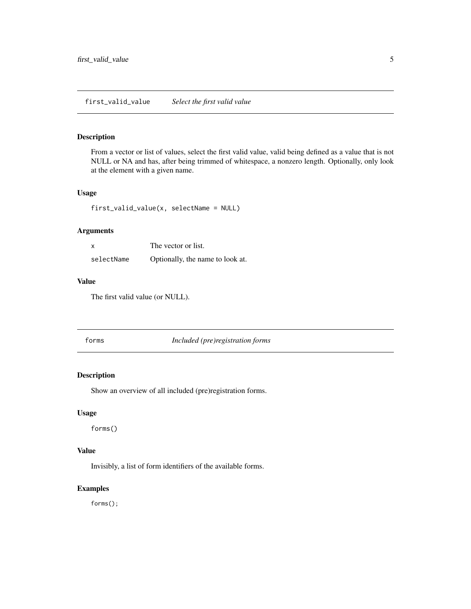#### <span id="page-4-0"></span>Description

From a vector or list of values, select the first valid value, valid being defined as a value that is not NULL or NA and has, after being trimmed of whitespace, a nonzero length. Optionally, only look at the element with a given name.

#### Usage

first\_valid\_value(x, selectName = NULL)

#### Arguments

| x          | The vector or list.              |
|------------|----------------------------------|
| selectName | Optionally, the name to look at. |

## Value

The first valid value (or NULL).

| orms |
|------|
|------|

*Included (pre)registration forms* 

#### Description

Show an overview of all included (pre)registration forms.

# Usage

forms()

#### Value

Invisibly, a list of form identifiers of the available forms.

# Examples

forms();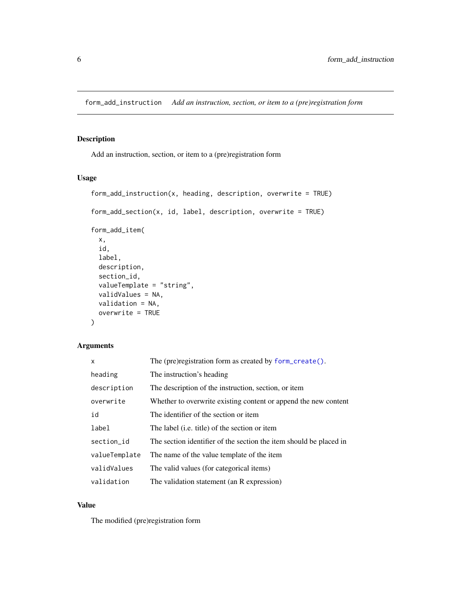<span id="page-5-0"></span>form\_add\_instruction *Add an instruction, section, or item to a (pre)registration form*

# Description

Add an instruction, section, or item to a (pre)registration form

# Usage

```
form_add_instruction(x, heading, description, overwrite = TRUE)
form_add_section(x, id, label, description, overwrite = TRUE)
form_add_item(
  x,
  id,
 label,
 description,
  section_id,
 valueTemplate = "string",
 validValues = NA,
 validation = NA,
 overwrite = TRUE
```
# )

# Arguments

| x             | The (pre) registration form as created by $form\_create()$ .       |
|---------------|--------------------------------------------------------------------|
| heading       | The instruction's heading                                          |
| description   | The description of the instruction, section, or item               |
| overwrite     | Whether to overwrite existing content or append the new content    |
| id            | The identifier of the section or item                              |
| label         | The label ( <i>i.e.</i> title) of the section or item              |
| section_id    | The section identifier of the section the item should be placed in |
| valueTemplate | The name of the value template of the item                         |
| validValues   | The valid values (for categorical items)                           |
| validation    | The validation statement (an R expression)                         |

# Value

The modified (pre)registration form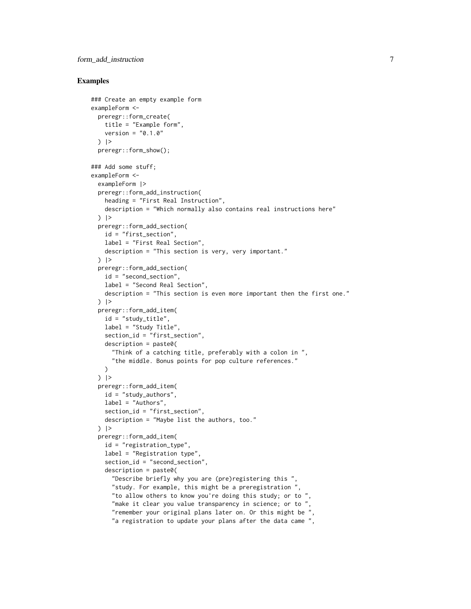# form\_add\_instruction 7

```
### Create an empty example form
exampleForm <-
 preregr::form_create(
   title = "Example form",
   version = "0.1.0") |>
 preregr::form_show();
### Add some stuff;
exampleForm <-
 exampleForm |>
 preregr::form_add_instruction(
   heading = "First Real Instruction",
   description = "Which normally also contains real instructions here"
 ) |>
 preregr::form_add_section(
   id = "first_section",
   label = "First Real Section",
   description = "This section is very, very important."
 ) |>
 preregr::form_add_section(
   id = "second_section",
   label = "Second Real Section",
   description = "This section is even more important then the first one."
 ) |>
 preregr::form_add_item(
   id = "study_title",
   label = "Study Title",
   section_id = "first_section",
   description = paste0(
      "Think of a catching title, preferably with a colon in ",
      "the middle. Bonus points for pop culture references."
   )
 ) |>preregr::form_add_item(
   id = "study_authors",
   label = "Authors",
   section_id = "first_section",
   description = "Maybe list the authors, too."
 ) |>preregr::form_add_item(
    id = "registration_type",
   label = "Registration type",
    section_id = "second_section",
    description = paste0(
     "Describe briefly why you are (pre)registering this ",
      "study. For example, this might be a preregistration ",
      "to allow others to know you're doing this study; or to ",
      "make it clear you value transparency in science; or to "
      "remember your original plans later on. Or this might be ",
      "a registration to update your plans after the data came ",
```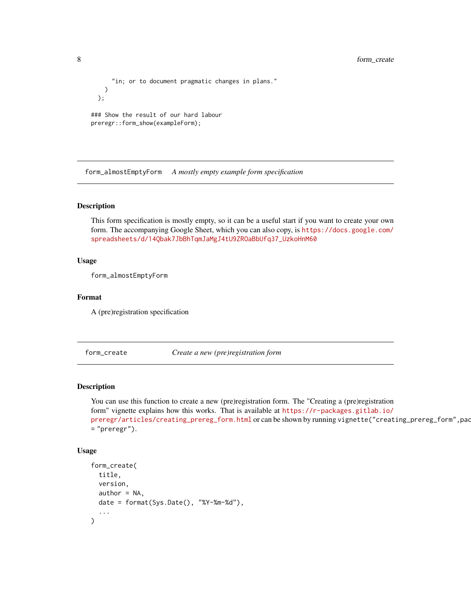```
"in; or to document pragmatic changes in plans."
   )
 );
### Show the result of our hard labour
```

```
preregr::form_show(exampleForm);
```
form\_almostEmptyForm *A mostly empty example form specification*

#### Description

This form specification is mostly empty, so it can be a useful start if you want to create your own form. The accompanying Google Sheet, which you can also copy, is [https://docs.google.com/](https://docs.google.com/spreadsheets/d/14Qbak7JbBhTqmJaMgJ4tU9ZROaBbUfq37_UzkoHnM60) [spreadsheets/d/14Qbak7JbBhTqmJaMgJ4tU9ZROaBbUfq37\\_UzkoHnM60](https://docs.google.com/spreadsheets/d/14Qbak7JbBhTqmJaMgJ4tU9ZROaBbUfq37_UzkoHnM60)

#### Usage

form\_almostEmptyForm

#### Format

A (pre)registration specification

<span id="page-7-1"></span>form\_create *Create a new (pre)registration form*

# Description

You can use this function to create a new (pre)registration form. The "Creating a (pre)registration form" vignette explains how this works. That is available at [https://r-packages.gitlab.io/](https://r-packages.gitlab.io/preregr/articles/creating_prereg_form.html) [preregr/articles/creating\\_prereg\\_form.html](https://r-packages.gitlab.io/preregr/articles/creating_prereg_form.html) or can be shown by running vignette("creating\_prereg\_form",pac = "preregr").

#### Usage

```
form_create(
  title,
 version,
 author = NA,
 date = format(Sys.Date(), "%Y-%m-%d"),
  ...
)
```
<span id="page-7-0"></span>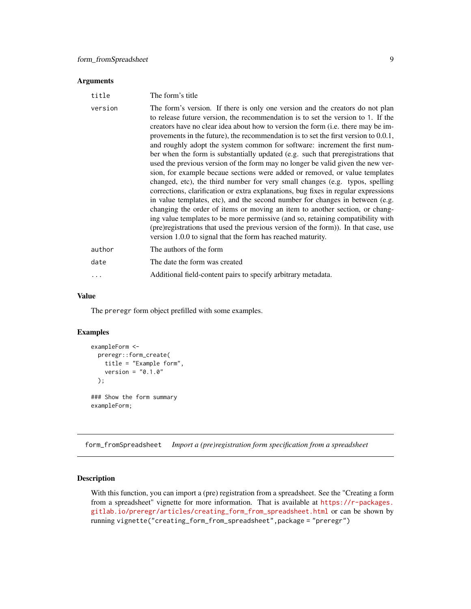#### <span id="page-8-0"></span>Arguments

| title   | The form's title                                                                                                                                                                                                                                                                                                                                                                                                                                                                                                                                                                                                                                                                                                                                                                                                                                                                                                                                                                                                                                                                                                                                                                                                                                                 |
|---------|------------------------------------------------------------------------------------------------------------------------------------------------------------------------------------------------------------------------------------------------------------------------------------------------------------------------------------------------------------------------------------------------------------------------------------------------------------------------------------------------------------------------------------------------------------------------------------------------------------------------------------------------------------------------------------------------------------------------------------------------------------------------------------------------------------------------------------------------------------------------------------------------------------------------------------------------------------------------------------------------------------------------------------------------------------------------------------------------------------------------------------------------------------------------------------------------------------------------------------------------------------------|
| version | The form's version. If there is only one version and the creators do not plan<br>to release future version, the recommendation is to set the version to 1. If the<br>creators have no clear idea about how to version the form (i.e. there may be im-<br>provements in the future), the recommendation is to set the first version to $0.0.1$ ,<br>and roughly adopt the system common for software: increment the first num-<br>ber when the form is substantially updated (e.g. such that preregistrations that<br>used the previous version of the form may no longer be valid given the new ver-<br>sion, for example becaue sections were added or removed, or value templates<br>changed, etc), the third number for very small changes (e.g. typos, spelling<br>corrections, clarification or extra explanations, bug fixes in regular expressions<br>in value templates, etc), and the second number for changes in between (e.g.<br>changing the order of items or moving an item to another section, or chang-<br>ing value templates to be more permissive (and so, retaining compatibility with<br>(pre)registrations that used the previous version of the form)). In that case, use<br>version 1.0.0 to signal that the form has reached maturity. |
| author  | The authors of the form                                                                                                                                                                                                                                                                                                                                                                                                                                                                                                                                                                                                                                                                                                                                                                                                                                                                                                                                                                                                                                                                                                                                                                                                                                          |
| date    | The date the form was created                                                                                                                                                                                                                                                                                                                                                                                                                                                                                                                                                                                                                                                                                                                                                                                                                                                                                                                                                                                                                                                                                                                                                                                                                                    |
| .       | Additional field-content pairs to specify arbitrary metadata.                                                                                                                                                                                                                                                                                                                                                                                                                                                                                                                                                                                                                                                                                                                                                                                                                                                                                                                                                                                                                                                                                                                                                                                                    |

## Value

The preregr form object prefilled with some examples.

#### Examples

```
exampleForm <-
 preregr::form_create(
   title = "Example form",
   version = "0.1.0");
### Show the form summary
exampleForm;
```
<span id="page-8-1"></span>form\_fromSpreadsheet *Import a (pre)registration form specification from a spreadsheet*

# Description

With this function, you can import a (pre) registration from a spreadsheet. See the "Creating a form from a spreadsheet" vignette for more information. That is available at [https://r-packages.](https://r-packages.gitlab.io/preregr/articles/creating_form_from_spreadsheet.html) [gitlab.io/preregr/articles/creating\\_form\\_from\\_spreadsheet.html](https://r-packages.gitlab.io/preregr/articles/creating_form_from_spreadsheet.html) or can be shown by running vignette("creating\_form\_from\_spreadsheet",package = "preregr")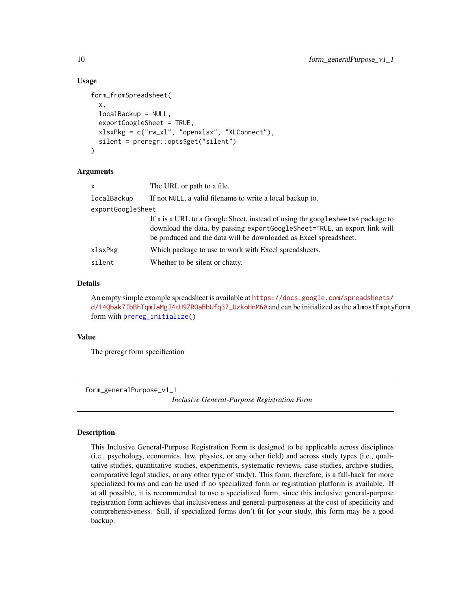# Usage

```
form_fromSpreadsheet(
  x,
  localBackup = NULL,
  exportGoogleSheet = TRUE,
  xlsxPkg = c("rw_xl", "openxlsx", "XLConnect"),
  silent = preregr::opts$get("silent")
)
```
#### Arguments

| X                 | The URL or path to a file.                                                                                                                                                                                                       |  |  |
|-------------------|----------------------------------------------------------------------------------------------------------------------------------------------------------------------------------------------------------------------------------|--|--|
| localBackup       | If not NULL, a valid filename to write a local backup to.                                                                                                                                                                        |  |  |
| exportGoogleSheet |                                                                                                                                                                                                                                  |  |  |
|                   | If x is a URL to a Google Sheet, instead of using thr googlesheets4 package to<br>download the data, by passing exportGoogleSheet=TRUE, an export link will<br>be produced and the data will be downloaded as Excel spreadsheet. |  |  |
| xlsxPkg           | Which package to use to work with Excel spreadsheets.                                                                                                                                                                            |  |  |
| silent            | Whether to be silent or chatty.                                                                                                                                                                                                  |  |  |

# Details

An empty simple example spreadsheet is available at [https://docs.google.com/spreadsheets/](https://docs.google.com/spreadsheets/d/14Qbak7JbBhTqmJaMgJ4tU9ZROaBbUfq37_UzkoHnM60) [d/14Qbak7JbBhTqmJaMgJ4tU9ZROaBbUfq37\\_UzkoHnM60](https://docs.google.com/spreadsheets/d/14Qbak7JbBhTqmJaMgJ4tU9ZROaBbUfq37_UzkoHnM60) and can be initialized as the almostEmptyForm form with [prereg\\_initialize\(\)](#page-22-1)

#### Value

The preregr form specification

form\_generalPurpose\_v1\_1

*Inclusive General-Purpose Registration Form*

#### **Description**

This Inclusive General-Purpose Registration Form is designed to be applicable across disciplines (i.e., psychology, economics, law, physics, or any other field) and across study types (i.e., qualitative studies, quantitative studies, experiments, systematic reviews, case studies, archive studies, comparative legal studies, or any other type of study). This form, therefore, is a fall-back for more specialized forms and can be used if no specialized form or registration platform is available. If at all possible, it is recommended to use a specialized form, since this inclusive general-purpose registration form achieves that inclusiveness and general-purposeness at the cost of specificity and comprehensiveness. Still, if specialized forms don't fit for your study, this form may be a good backup.

<span id="page-9-0"></span>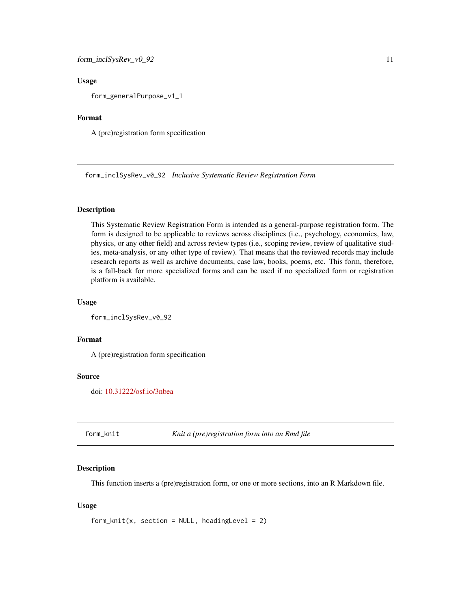<span id="page-10-0"></span>form\_inclSysRev\_v0\_92 11

#### Usage

form\_generalPurpose\_v1\_1

# Format

A (pre)registration form specification

form\_inclSysRev\_v0\_92 *Inclusive Systematic Review Registration Form*

#### Description

This Systematic Review Registration Form is intended as a general-purpose registration form. The form is designed to be applicable to reviews across disciplines (i.e., psychology, economics, law, physics, or any other field) and across review types (i.e., scoping review, review of qualitative studies, meta-analysis, or any other type of review). That means that the reviewed records may include research reports as well as archive documents, case law, books, poems, etc. This form, therefore, is a fall-back for more specialized forms and can be used if no specialized form or registration platform is available.

#### Usage

form\_inclSysRev\_v0\_92

# Format

A (pre)registration form specification

### Source

doi: [10.31222/osf.io/3nbea](https://doi.org/10.31222/osf.io/3nbea)

form\_knit *Knit a (pre)registration form into an Rmd file*

#### Description

This function inserts a (pre)registration form, or one or more sections, into an R Markdown file.

#### Usage

```
form_knit(x, section = NULL, headingLevel = 2)
```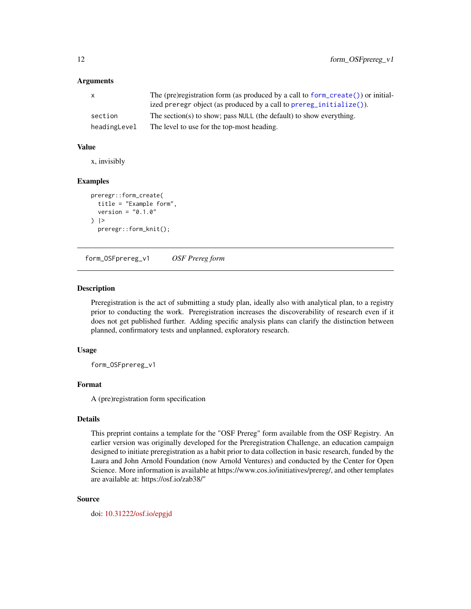#### Arguments

|              | The (pre) registration form (as produced by a call to form create()) or initial- |
|--------------|----------------------------------------------------------------------------------|
|              | ized preregr object (as produced by a call to prereg_initialize()).              |
| section      | The section(s) to show; pass $NULL$ (the default) to show everything.            |
| headingLevel | The level to use for the top-most heading.                                       |

#### Value

x, invisibly

# Examples

```
preregr::form_create(
  title = "Example form",
  version = "0.1.0") |>
  preregr::form_knit();
```
form\_OSFprereg\_v1 *OSF Prereg form*

#### Description

Preregistration is the act of submitting a study plan, ideally also with analytical plan, to a registry prior to conducting the work. Preregistration increases the discoverability of research even if it does not get published further. Adding specific analysis plans can clarify the distinction between planned, confirmatory tests and unplanned, exploratory research.

#### Usage

form\_OSFprereg\_v1

# Format

A (pre)registration form specification

# Details

This preprint contains a template for the "OSF Prereg" form available from the OSF Registry. An earlier version was originally developed for the Preregistration Challenge, an education campaign designed to initiate preregistration as a habit prior to data collection in basic research, funded by the Laura and John Arnold Foundation (now Arnold Ventures) and conducted by the Center for Open Science. More information is available at https://www.cos.io/initiatives/prereg/, and other templates are available at: https://osf.io/zab38/"

#### Source

doi: [10.31222/osf.io/epgjd](https://doi.org/10.31222/osf.io/epgjd)

<span id="page-11-0"></span>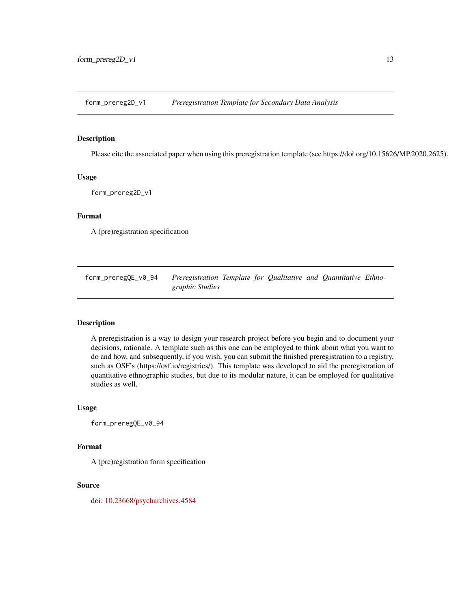<span id="page-12-0"></span>form\_prereg2D\_v1 *Preregistration Template for Secondary Data Analysis*

## Description

Please cite the associated paper when using this preregistration template (see https://doi.org/10.15626/MP.2020.2625).

## Usage

form\_prereg2D\_v1

# Format

A (pre)registration specification

form\_preregQE\_v0\_94 *Preregistration Template for Qualitative and Quantitative Ethnographic Studies*

#### Description

A preregistration is a way to design your research project before you begin and to document your decisions, rationale. A template such as this one can be employed to think about what you want to do and how, and subsequently, if you wish, you can submit the finished preregistration to a registry, such as OSF's (https://osf.io/registries/). This template was developed to aid the preregistration of quantitative ethnographic studies, but due to its modular nature, it can be employed for qualitative studies as well.

#### Usage

```
form_preregQE_v0_94
```
#### Format

A (pre)registration form specification

#### Source

doi: [10.23668/psycharchives.4584](https://doi.org/10.23668/psycharchives.4584)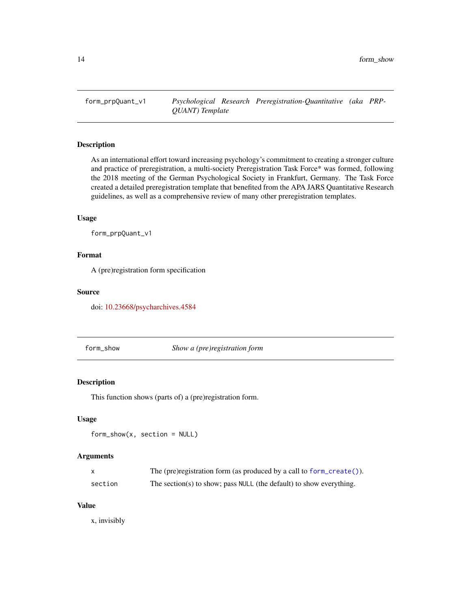<span id="page-13-0"></span>

# Description

As an international effort toward increasing psychology's commitment to creating a stronger culture and practice of preregistration, a multi-society Preregistration Task Force\* was formed, following the 2018 meeting of the German Psychological Society in Frankfurt, Germany. The Task Force created a detailed preregistration template that benefited from the APA JARS Quantitative Research guidelines, as well as a comprehensive review of many other preregistration templates.

# Usage

form\_prpQuant\_v1

#### Format

A (pre)registration form specification

#### Source

doi: [10.23668/psycharchives.4584](https://doi.org/10.23668/psycharchives.4584)

form\_show *Show a (pre)registration form*

#### Description

This function shows (parts of) a (pre)registration form.

# Usage

form\_show(x, section = NULL)

#### Arguments

|         | The (pre) registration form (as produced by a call to $form\_create()$ ). |
|---------|---------------------------------------------------------------------------|
| section | The section(s) to show; pass NULL (the default) to show everything.       |

#### Value

x, invisibly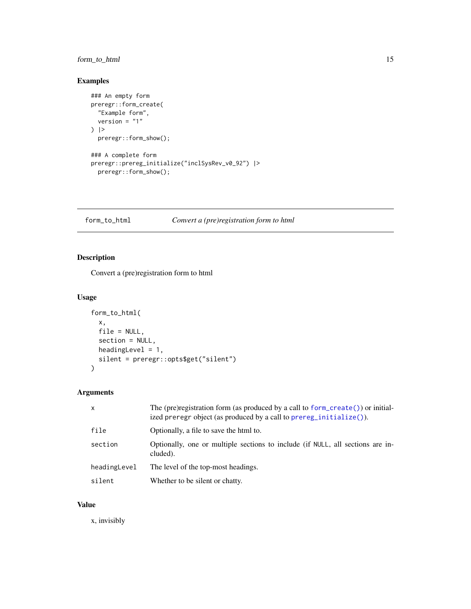# <span id="page-14-0"></span>form\_to\_html 15

# Examples

```
### An empty form
preregr::form_create(
  "Example form",
  version = "1") |>
  preregr::form_show();
### A complete form
preregr::prereg_initialize("inclSysRev_v0_92") |>
  preregr::form_show();
```
form\_to\_html *Convert a (pre)registration form to html*

# Description

Convert a (pre)registration form to html

# Usage

```
form_to_html(
  x,
  file = NULL,
  section = NULL,
  headingLevel = 1,
  silent = preregr::opts$get("silent")
\mathcal{L}
```
# Arguments

| $\times$     | The (pre)registration form (as produced by a call to $form\_create()$ ) or initial-<br>ized preregr object (as produced by a call to prereg_initialize()). |
|--------------|------------------------------------------------------------------------------------------------------------------------------------------------------------|
| file         | Optionally, a file to save the html to.                                                                                                                    |
| section      | Optionally, one or multiple sections to include (if NULL, all sections are in-<br>cluded).                                                                 |
| headingLevel | The level of the top-most headings.                                                                                                                        |
| silent       | Whether to be silent or chatty.                                                                                                                            |

#### Value

x, invisibly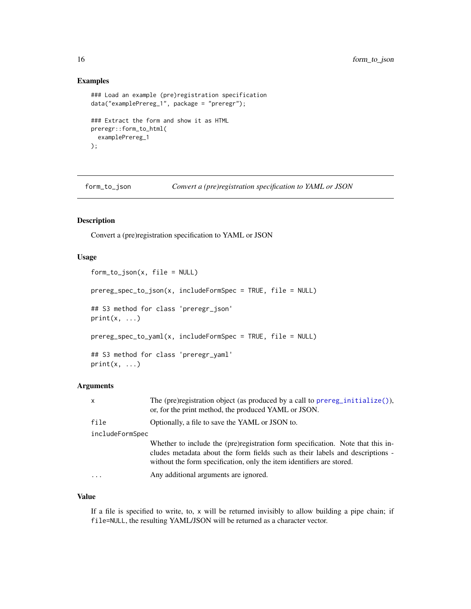#### Examples

```
### Load an example (pre)registration specification
data("examplePrereg_1", package = "preregr");
### Extract the form and show it as HTML
preregr::form_to_html(
  examplePrereg_1
);
```
form\_to\_json *Convert a (pre)registration specification to YAML or JSON*

# Description

Convert a (pre)registration specification to YAML or JSON

## Usage

```
form_to_json(x, file = NULL)prereg_spec_to_json(x, includeFormSpec = TRUE, file = NULL)
## S3 method for class 'preregr_json'
print(x, \ldots)prereg_spec_to_yaml(x, includeFormSpec = TRUE, file = NULL)
## S3 method for class 'preregr_yaml'
print(x, \ldots)
```
# Arguments

| $\mathsf{x}$    | The (pre) registration object (as produced by a call to $preeg\_initialize()$ ),<br>or, for the print method, the produced YAML or JSON.                                                                                                  |
|-----------------|-------------------------------------------------------------------------------------------------------------------------------------------------------------------------------------------------------------------------------------------|
| file            | Optionally, a file to save the YAML or JSON to.                                                                                                                                                                                           |
| includeFormSpec |                                                                                                                                                                                                                                           |
|                 | Whether to include the (pre)registration form specification. Note that this in-<br>cludes metadata about the form fields such as their labels and descriptions -<br>without the form specification, only the item identifiers are stored. |
| $\ddotsc$       | Any additional arguments are ignored.                                                                                                                                                                                                     |

# Value

If a file is specified to write, to, x will be returned invisibly to allow building a pipe chain; if file=NULL, the resulting YAML/JSON will be returned as a character vector.

<span id="page-15-0"></span>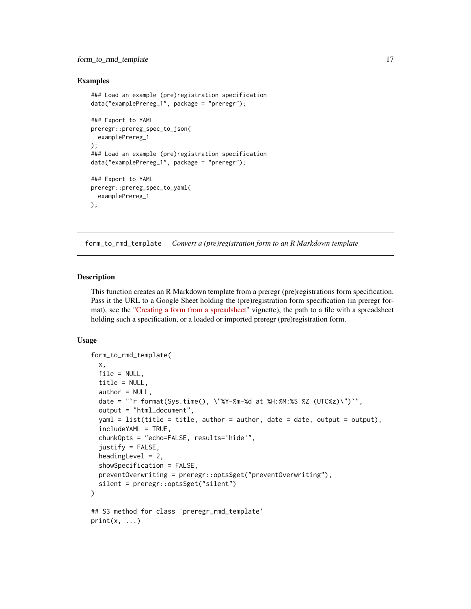#### <span id="page-16-0"></span>form\_to\_rmd\_template 17

#### Examples

```
### Load an example (pre)registration specification
data("examplePrereg_1", package = "preregr");
### Export to YAML
preregr::prereg_spec_to_json(
  examplePrereg_1
);
### Load an example (pre)registration specification
data("examplePrereg_1", package = "preregr");
### Export to YAML
preregr::prereg_spec_to_yaml(
  examplePrereg_1
);
```
<span id="page-16-1"></span>form\_to\_rmd\_template *Convert a (pre)registration form to an R Markdown template*

#### Description

This function creates an R Markdown template from a preregr (pre)registrations form specification. Pass it the URL to a Google Sheet holding the (pre)registration form specification (in preregr format), see the ["Creating a form from a spreadsheet"](https://r-packages.gitlab.io/preregr/articles/creating_form_from_spreadsheet.html) vignette), the path to a file with a spreadsheet holding such a specification, or a loaded or imported preregr (pre)registration form.

#### Usage

```
form_to_rmd_template(
  x,
  file = NULL.
  title = NULL,
  author = NULL,date = "`r format(Sys.time(), \"%Y-%m-%d at %H:%M:%S %Z (UTC%z)\")`",
  output = "html_document",
  \gammaaml = list(title = title, author = author, date = date, output = output),
  includeYAML = TRUE,
  chunkOpts = "echo=FALSE, results='hide'",
  justify = FALSE,headingLevel = 2,
  showSpecification = FALSE,
  preventOverwriting = preregr::opts$get("preventOverwriting"),
  silent = preregr::opts$get("silent")
)
## S3 method for class 'preregr_rmd_template'
print(x, \ldots)
```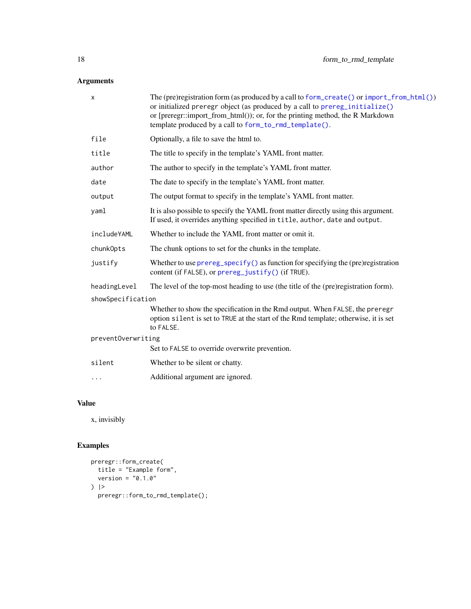# <span id="page-17-0"></span>Arguments

| X                  | The (pre)registration form (as produced by a call to form_create() or $import\_from\_html()$ )<br>or initialized preregr object (as produced by a call to prereg_initialize()<br>or [preregr::import_from_html()); or, for the printing method, the R Markdown<br>template produced by a call to form_to_rmd_template(). |  |  |  |
|--------------------|--------------------------------------------------------------------------------------------------------------------------------------------------------------------------------------------------------------------------------------------------------------------------------------------------------------------------|--|--|--|
| file               | Optionally, a file to save the html to.                                                                                                                                                                                                                                                                                  |  |  |  |
| title              | The title to specify in the template's YAML front matter.                                                                                                                                                                                                                                                                |  |  |  |
| author             | The author to specify in the template's YAML front matter.                                                                                                                                                                                                                                                               |  |  |  |
| date               | The date to specify in the template's YAML front matter.                                                                                                                                                                                                                                                                 |  |  |  |
| output             | The output format to specify in the template's YAML front matter.                                                                                                                                                                                                                                                        |  |  |  |
| yaml               | It is also possible to specify the YAML front matter directly using this argument.<br>If used, it overrides anything specified in title, author, date and output.                                                                                                                                                        |  |  |  |
| includeYAML        | Whether to include the YAML front matter or omit it.                                                                                                                                                                                                                                                                     |  |  |  |
| chunkOpts          | The chunk options to set for the chunks in the template.                                                                                                                                                                                                                                                                 |  |  |  |
| justify            | Whether to use $prereg\_specific()$ as function for specifying the (pre)registration<br>content (if FALSE), or prereg_justify() (if TRUE).                                                                                                                                                                               |  |  |  |
| headingLevel       | The level of the top-most heading to use (the title of the (pre)registration form).                                                                                                                                                                                                                                      |  |  |  |
| showSpecification  |                                                                                                                                                                                                                                                                                                                          |  |  |  |
|                    | Whether to show the specification in the Rmd output. When FALSE, the preregr<br>option silent is set to TRUE at the start of the Rmd template; otherwise, it is set<br>to FALSE.                                                                                                                                         |  |  |  |
| preventOverwriting |                                                                                                                                                                                                                                                                                                                          |  |  |  |
|                    | Set to FALSE to override overwrite prevention.                                                                                                                                                                                                                                                                           |  |  |  |
| silent             | Whether to be silent or chatty.                                                                                                                                                                                                                                                                                          |  |  |  |
| $\cdots$           | Additional argument are ignored.                                                                                                                                                                                                                                                                                         |  |  |  |

# Value

x, invisibly

```
preregr::form_create(
 title = "Example form",
 version = "0.1.0") |>
 preregr::form_to_rmd_template();
```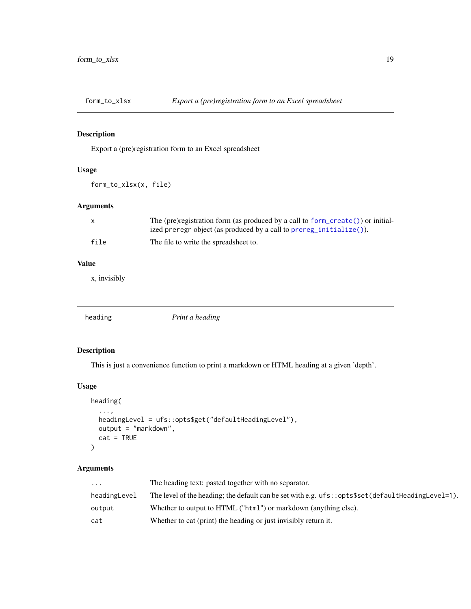<span id="page-18-0"></span>

# Description

Export a (pre)registration form to an Excel spreadsheet

# Usage

form\_to\_xlsx(x, file)

# Arguments

|      | The (pre) registration form (as produced by a call to form $c$ reate()) or initial- |
|------|-------------------------------------------------------------------------------------|
|      | ized preregr object (as produced by a call to prereg_initialize()).                 |
| file | The file to write the spreadsheet to.                                               |

# Value

x, invisibly

heading *Print a heading*

# Description

This is just a convenience function to print a markdown or HTML heading at a given 'depth'.

# Usage

```
heading(
  ...,
 headingLevel = ufs::opts$get("defaultHeadingLevel"),
 output = "markdown",
  cat = TRUE)
```
# Arguments

| .            | The heading text: pasted together with no separator.                                                       |
|--------------|------------------------------------------------------------------------------------------------------------|
| headingLevel | The level of the heading; the default can be set with e.g. $ufs::opts$ \$ $set$ (default Heading Level=1). |
| output       | Whether to output to HTML ("html") or markdown (anything else).                                            |
| cat          | Whether to cat (print) the heading or just invisibly return it.                                            |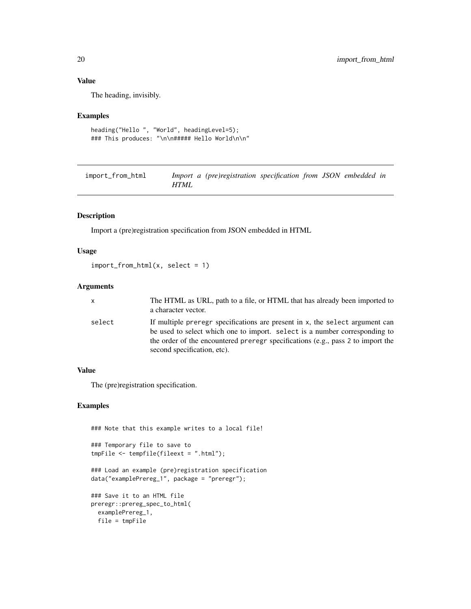# Value

The heading, invisibly.

# Examples

```
heading("Hello ", "World", headingLevel=5);
### This produces: "\n\n##### Hello World\n\n"
```
<span id="page-19-1"></span>

| import_from_html |             | Import a (pre)registration specification from JSON embedded in |  |  |  |
|------------------|-------------|----------------------------------------------------------------|--|--|--|
|                  | <b>HTML</b> |                                                                |  |  |  |

# Description

Import a (pre)registration specification from JSON embedded in HTML

# Usage

```
import_from_html(x, select = 1)
```
#### Arguments

| x      | The HTML as URL, path to a file, or HTML that has already been imported to<br>a character vector.                                                                                                                                                                            |
|--------|------------------------------------------------------------------------------------------------------------------------------------------------------------------------------------------------------------------------------------------------------------------------------|
| select | If multiple preregr specifications are present in x, the select argument can<br>be used to select which one to import. select is a number corresponding to<br>the order of the encountered preregr specifications (e.g., pass 2 to import the<br>second specification, etc). |

# Value

The (pre)registration specification.

```
### Note that this example writes to a local file!
### Temporary file to save to
tmpFile <- tempfile(fileext = ".html");
### Load an example (pre)registration specification
data("examplePrereg_1", package = "preregr");
### Save it to an HTML file
preregr::prereg_spec_to_html(
 examplePrereg_1,
 file = tmpFile
```
<span id="page-19-0"></span>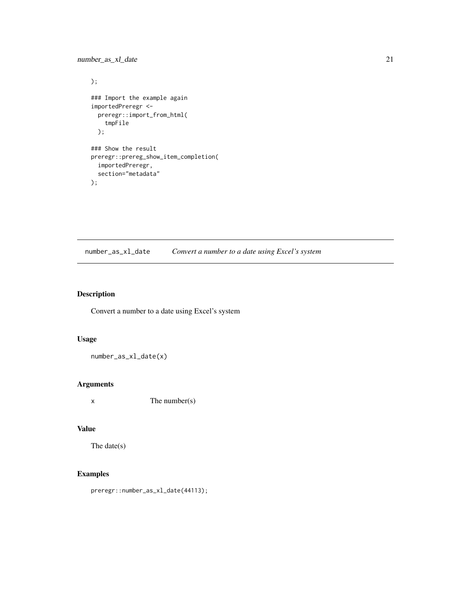```
number_as_xl_date 21
```

```
);
### Import the example again
importedPreregr <-
  preregr::import_from_html(
    tmpFile
  );
### Show the result
preregr::prereg_show_item_completion(
  importedPreregr,
  section="metadata"
);
```
number\_as\_xl\_date *Convert a number to a date using Excel's system*

# Description

Convert a number to a date using Excel's system

# Usage

number\_as\_xl\_date(x)

#### Arguments

x The number(s)

# Value

The date(s)

# Examples

preregr::number\_as\_xl\_date(44113);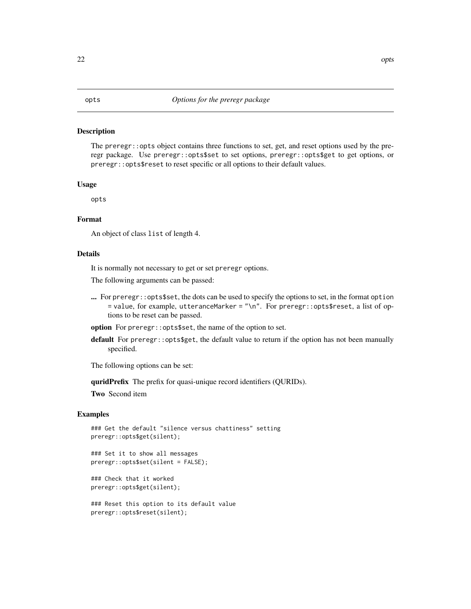#### <span id="page-21-0"></span>Description

The preregr::opts object contains three functions to set, get, and reset options used by the preregr package. Use preregr::opts\$set to set options, preregr::opts\$get to get options, or preregr::opts\$reset to reset specific or all options to their default values.

#### Usage

opts

#### Format

An object of class list of length 4.

#### Details

It is normally not necessary to get or set preregr options.

The following arguments can be passed:

... For preregr::opts\$set, the dots can be used to specify the options to set, in the format option = value, for example, utteranceMarker = "\n". For preregr::opts\$reset, a list of options to be reset can be passed.

option For preregr::opts\$set, the name of the option to set.

default For preregr::opts\$get, the default value to return if the option has not been manually specified.

The following options can be set:

quridPrefix The prefix for quasi-unique record identifiers (QURIDs).

Two Second item

# Examples

```
### Get the default "silence versus chattiness" setting
preregr::opts$get(silent);
```
### Set it to show all messages preregr::opts\$set(silent = FALSE);

### Check that it worked preregr::opts\$get(silent);

### Reset this option to its default value preregr::opts\$reset(silent);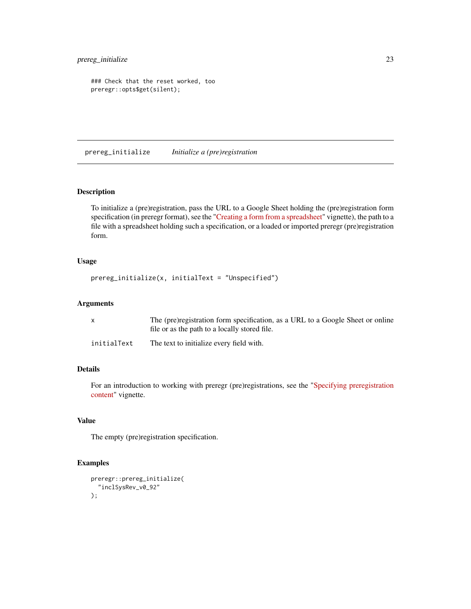```
### Check that the reset worked, too
preregr::opts$get(silent);
```
<span id="page-22-1"></span>prereg\_initialize *Initialize a (pre)registration*

# Description

To initialize a (pre)registration, pass the URL to a Google Sheet holding the (pre)registration form specification (in preregr format), see the ["Creating a form from a spreadsheet"](https://r-packages.gitlab.io/preregr/articles/creating_form_from_spreadsheet.html) vignette), the path to a file with a spreadsheet holding such a specification, or a loaded or imported preregr (pre)registration form.

#### Usage

```
prereg_initialize(x, initialText = "Unspecified")
```
# Arguments

|             | The (pre)registration form specification, as a URL to a Google Sheet or online<br>file or as the path to a locally stored file. |
|-------------|---------------------------------------------------------------------------------------------------------------------------------|
| initialText | The text to initialize every field with.                                                                                        |

# Details

For an introduction to working with preregr (pre)registrations, see the ["Specifying preregistration](https://r-packages.gitlab.io/preregr/articles/specifying_prereg_content.html) [content"](https://r-packages.gitlab.io/preregr/articles/specifying_prereg_content.html) vignette.

# Value

The empty (pre)registration specification.

```
preregr::prereg_initialize(
  "inclSysRev_v0_92"
);
```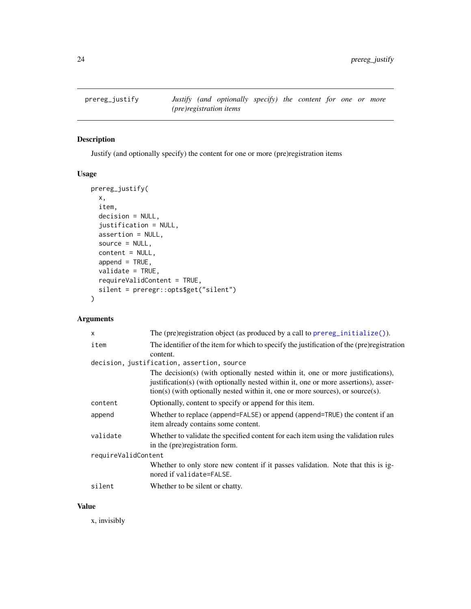<span id="page-23-1"></span><span id="page-23-0"></span>

# Description

Justify (and optionally specify) the content for one or more (pre)registration items

#### Usage

```
prereg_justify(
 x,
  item,
 decision = NULL,
  justification = NULL,
 assertion = NULL,
  source = NULL,
  content = NULL,
  append = TRUE,validate = TRUE,
  requireValidContent = TRUE,
  silent = preregr::opts$get("silent")
)
```
# Arguments

| $\boldsymbol{\mathsf{x}}$ | The (pre)registration object (as produced by a call to $prereg\_initialize()$ ).                                                                                                                                                                                  |  |
|---------------------------|-------------------------------------------------------------------------------------------------------------------------------------------------------------------------------------------------------------------------------------------------------------------|--|
| item                      | The identifier of the item for which to specify the justification of the (pre)registration                                                                                                                                                                        |  |
|                           | content.                                                                                                                                                                                                                                                          |  |
|                           | decision, justification, assertion, source                                                                                                                                                                                                                        |  |
|                           | The decision(s) (with optionally nested within it, one or more justifications),<br>justification(s) (with optionally nested within it, one or more assertions), asser-<br>$\text{tion}(s)$ (with optionally nested within it, one or more sources), or source(s). |  |
| content                   | Optionally, content to specify or append for this item.                                                                                                                                                                                                           |  |
| append                    | Whether to replace (append=FALSE) or append (append=TRUE) the content if an<br>item already contains some content.                                                                                                                                                |  |
| validate                  | Whether to validate the specified content for each item using the validation rules<br>in the (pre)registration form.                                                                                                                                              |  |
| requireValidContent       |                                                                                                                                                                                                                                                                   |  |
|                           | Whether to only store new content if it passes validation. Note that this is ig-<br>nored if validate=FALSE.                                                                                                                                                      |  |
| silent                    | Whether to be silent or chatty.                                                                                                                                                                                                                                   |  |
|                           |                                                                                                                                                                                                                                                                   |  |

# Value

x, invisibly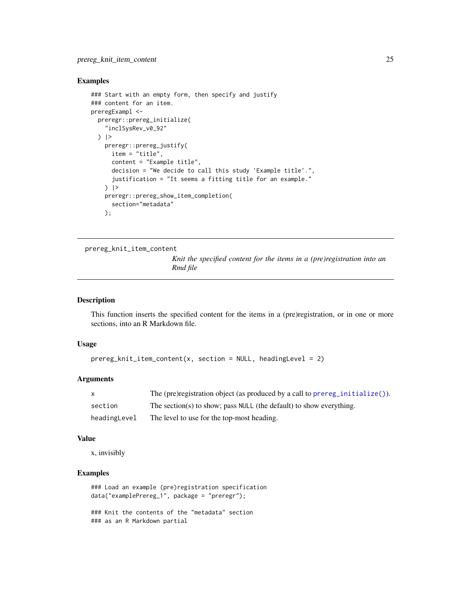#### <span id="page-24-0"></span>Examples

```
### Start with an empty form, then specify and justify
### content for an item.
preregExampl <-
  preregr::prereg_initialize(
    "inclSysRev_v0_92"
  ) |>
   preregr::prereg_justify(
      item = "title",
      content = "Example title",
      decision = "We decide to call this study 'Example title'.",
      justification = "It seems a fitting title for an example."
    ) |>preregr::prereg_show_item_completion(
      section="metadata"
   );
```
<span id="page-24-1"></span>prereg\_knit\_item\_content

*Knit the specified content for the items in a (pre)registration into an Rmd file*

#### Description

This function inserts the specified content for the items in a (pre)registration, or in one or more sections, into an R Markdown file.

#### Usage

```
prereg_knit_item_content(x, section = NULL, headingLevel = 2)
```
#### Arguments

| X            | The (pre) registration object (as produced by a call to prereg_initialize()). |
|--------------|-------------------------------------------------------------------------------|
| section      | The section(s) to show; pass NULL (the default) to show everything.           |
| headingLevel | The level to use for the top-most heading.                                    |

#### Value

x, invisibly

```
### Load an example (pre)registration specification
data("examplePrereg_1", package = "preregr");
### Knit the contents of the "metadata" section
### as an R Markdown partial
```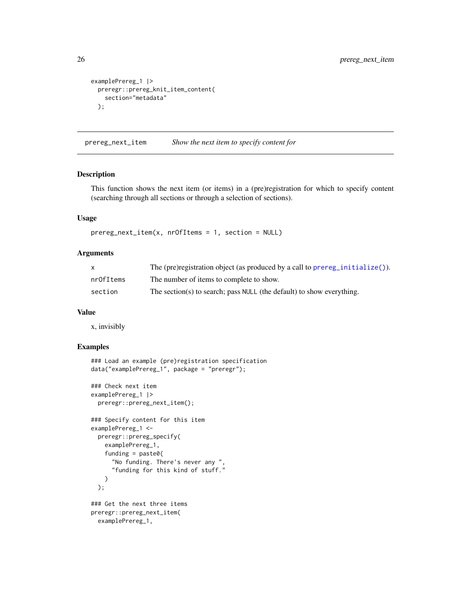```
examplePrereg_1 |>
 preregr::prereg_knit_item_content(
   section="metadata"
 );
```
prereg\_next\_item *Show the next item to specify content for*

# Description

This function shows the next item (or items) in a (pre)registration for which to specify content (searching through all sections or through a selection of sections).

# Usage

prereg\_next\_item(x, nrOfItems = 1, section = NULL)

## Arguments

|           | The (pre)registration object (as produced by a call to prereg_initialize()). |
|-----------|------------------------------------------------------------------------------|
| nrOfItems | The number of items to complete to show.                                     |
| section   | The section(s) to search; pass NULL (the default) to show everything.        |

#### Value

x, invisibly

```
### Load an example (pre)registration specification
data("examplePrereg_1", package = "preregr");
### Check next item
examplePrereg_1 |>
 preregr::prereg_next_item();
### Specify content for this item
examplePrereg_1 <-
 preregr::prereg_specify(
   examplePrereg_1,
   funding = past@("No funding. There's never any ",
      "funding for this kind of stuff."
   )
 );
### Get the next three items
preregr::prereg_next_item(
 examplePrereg_1,
```
<span id="page-25-0"></span>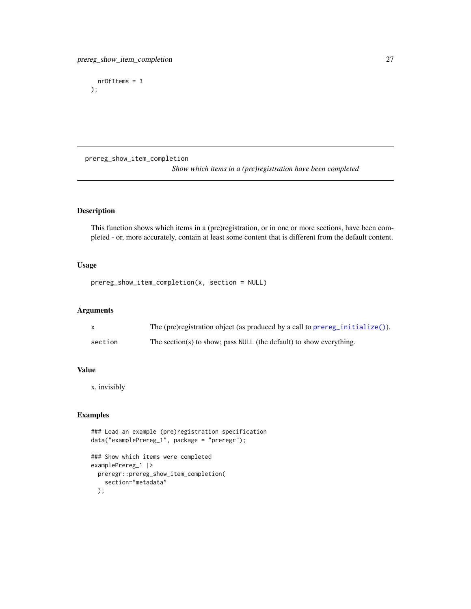<span id="page-26-0"></span>nrOfItems = 3 );

prereg\_show\_item\_completion

```
Show which items in a (pre)registration have been completed
```
# Description

This function shows which items in a (pre)registration, or in one or more sections, have been completed - or, more accurately, contain at least some content that is different from the default content.

#### Usage

```
prereg_show_item_completion(x, section = NULL)
```
## Arguments

|         | The (pre)registration object (as produced by a call to prereg_initialize()). |
|---------|------------------------------------------------------------------------------|
| section | The section(s) to show; pass NULL (the default) to show everything.          |

# Value

x, invisibly

# Examples

```
### Load an example (pre)registration specification
data("examplePrereg_1", package = "preregr");
### Show which items were completed
examplePrereg_1 |>
 preregr::prereg_show_item_completion(
    section="metadata"
```
);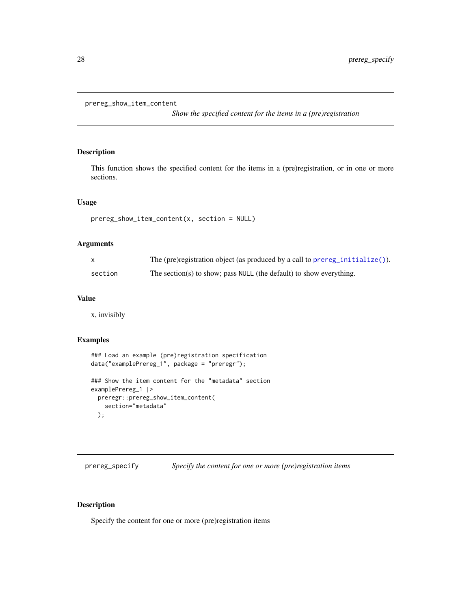```
prereg_show_item_content
```
*Show the specified content for the items in a (pre)registration*

# Description

This function shows the specified content for the items in a (pre)registration, or in one or more sections.

#### Usage

```
prereg_show_item_content(x, section = NULL)
```
#### Arguments

|         | The (pre) registration object (as produced by a call to prereg_initialize()). |
|---------|-------------------------------------------------------------------------------|
| section | The section(s) to show; pass NULL (the default) to show everything.           |

#### Value

x, invisibly

# Examples

```
### Load an example (pre)registration specification
data("examplePrereg_1", package = "preregr");
### Show the item content for the "metadata" section
examplePrereg_1 |>
  preregr::prereg_show_item_content(
    section="metadata"
  );
```
<span id="page-27-1"></span>prereg\_specify *Specify the content for one or more (pre)registration items*

# Description

Specify the content for one or more (pre)registration items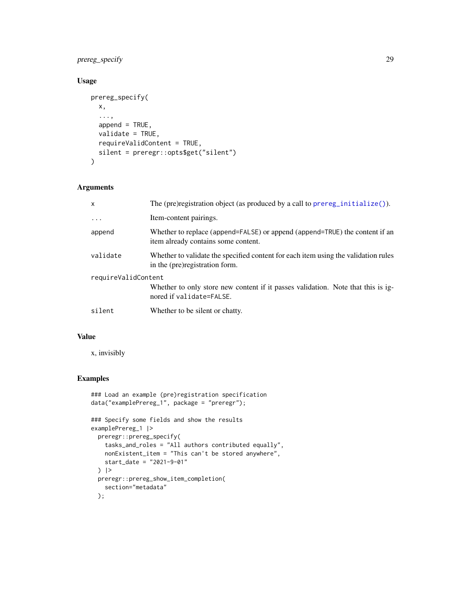# prereg\_specify 29

# Usage

```
prereg_specify(
 x,
  ...,
 append = TRUE,validate = TRUE,
 requireValidContent = TRUE,
 silent = preregr::opts$get("silent")
\mathcal{L}
```
# Arguments

| $\mathsf{x}$        | The (pre)registration object (as produced by a call to $prereg\_initialize()$ ).                                     |
|---------------------|----------------------------------------------------------------------------------------------------------------------|
| $\cdots$            | Item-content pairings.                                                                                               |
| append              | Whether to replace (append=FALSE) or append (append=TRUE) the content if an<br>item already contains some content.   |
| validate            | Whether to validate the specified content for each item using the validation rules<br>in the (pre)registration form. |
| requireValidContent | Whether to only store new content if it passes validation. Note that this is ig-<br>nored if validate=FALSE.         |
| silent              | Whether to be silent or chatty.                                                                                      |

#### Value

x, invisibly

```
### Load an example (pre)registration specification
data("examplePrereg_1", package = "preregr");
### Specify some fields and show the results
examplePrereg_1 |>
  preregr::prereg_specify(
    tasks_and_roles = "All authors contributed equally",
   nonExistent_item = "This can't be stored anywhere",
   start_date = "2021-9-01"
  ) |>
  preregr::prereg_show_item_completion(
   section="metadata"
  );
```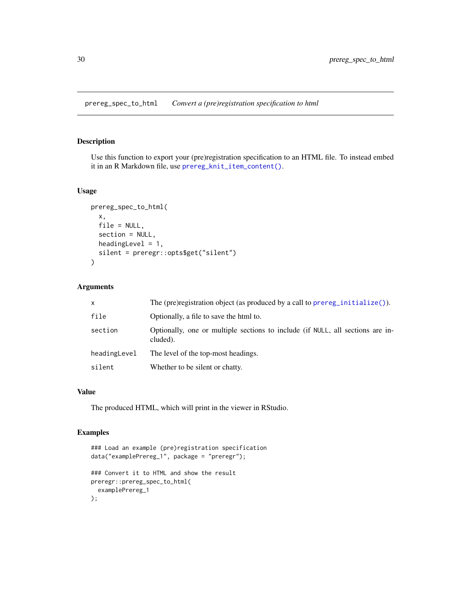<span id="page-29-0"></span>prereg\_spec\_to\_html *Convert a (pre)registration specification to html*

#### Description

Use this function to export your (pre)registration specification to an HTML file. To instead embed it in an R Markdown file, use [prereg\\_knit\\_item\\_content\(\)](#page-24-1).

## Usage

```
prereg_spec_to_html(
 x,
  file = NULL,
  section = NULL,
 headingLevel = 1,
  silent = preregr::opts$get("silent")
)
```
# Arguments

| $\mathsf{x}$ | The (pre)registration object (as produced by a call to prereg_initialize()).               |
|--------------|--------------------------------------------------------------------------------------------|
| file         | Optionally, a file to save the html to.                                                    |
| section      | Optionally, one or multiple sections to include (if NULL, all sections are in-<br>cluded). |
| headingLevel | The level of the top-most headings.                                                        |
| silent       | Whether to be silent or chatty.                                                            |

#### Value

The produced HTML, which will print in the viewer in RStudio.

```
### Load an example (pre)registration specification
data("examplePrereg_1", package = "preregr");
### Convert it to HTML and show the result
preregr::prereg_spec_to_html(
  examplePrereg_1
);
```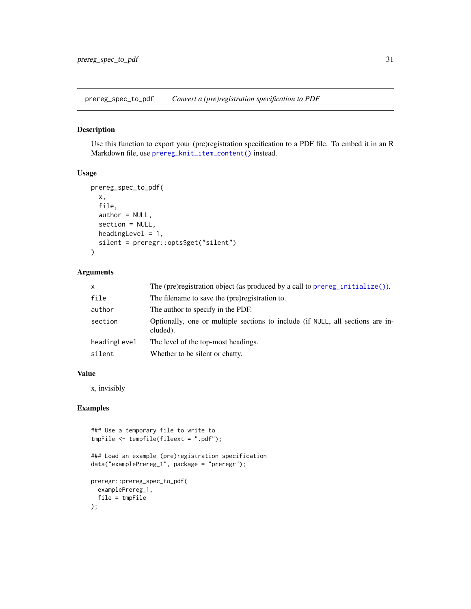<span id="page-30-0"></span>prereg\_spec\_to\_pdf *Convert a (pre)registration specification to PDF*

#### Description

Use this function to export your (pre)registration specification to a PDF file. To embed it in an R Markdown file, use [prereg\\_knit\\_item\\_content\(\)](#page-24-1) instead.

# Usage

```
prereg_spec_to_pdf(
  x,
  file,
  author = NULL,section = NULL,
 headingLevel = 1,
  silent = preregr::opts$get("silent")
)
```
#### Arguments

| $\mathsf{x}$ | The (pre)registration object (as produced by a call to $prereg\_initialize()$ ).           |
|--------------|--------------------------------------------------------------------------------------------|
| file         | The filename to save the (pre) registration to.                                            |
| author       | The author to specify in the PDF.                                                          |
| section      | Optionally, one or multiple sections to include (if NULL, all sections are in-<br>cluded). |
| headingLevel | The level of the top-most headings.                                                        |
| silent       | Whether to be silent or chatty.                                                            |

#### Value

x, invisibly

```
### Use a temporary file to write to
tmpFile <- tempfile(fileext = ".pdf");
### Load an example (pre)registration specification
data("examplePrereg_1", package = "preregr");
preregr::prereg_spec_to_pdf(
  examplePrereg_1,
  file = tmpFile
);
```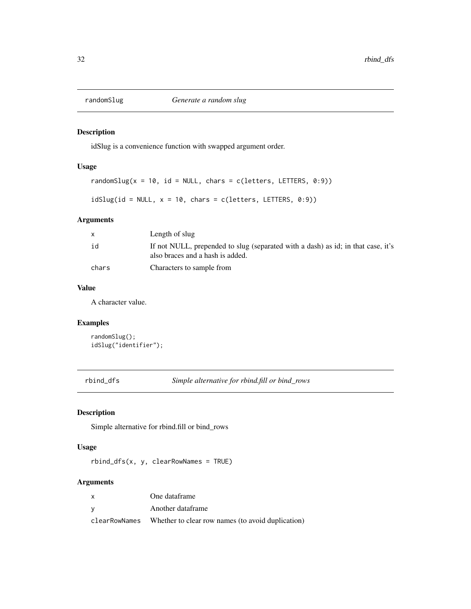<span id="page-31-0"></span>

# Description

idSlug is a convenience function with swapped argument order.

# Usage

```
randomSlug(x = 10, id = NULL, chars = c(letters, LETTERS, 0:9))
```

```
idslug(id = NULL, x = 10, chars = c(leftters, LETTERS, 0:9))
```
# Arguments

|       | Length of slug                                                                                                       |
|-------|----------------------------------------------------------------------------------------------------------------------|
| id    | If not NULL, prepended to slug (separated with a dash) as id; in that case, it's<br>also braces and a hash is added. |
| chars | Characters to sample from                                                                                            |

# Value

A character value.

# Examples

```
randomSlug();
idSlug("identifier");
```
rbind\_dfs *Simple alternative for rbind.fill or bind\_rows*

# Description

Simple alternative for rbind.fill or bind\_rows

# Usage

rbind\_dfs(x, y, clearRowNames = TRUE)

# Arguments

| $\mathsf{x}$  | One dataframe                                     |
|---------------|---------------------------------------------------|
| - V           | Another dataframe                                 |
| clearRowNames | Whether to clear row names (to avoid duplication) |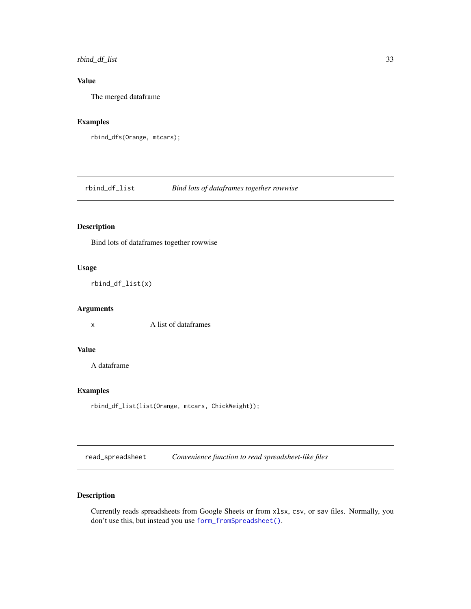# <span id="page-32-0"></span>rbind\_df\_list 33

# Value

The merged dataframe

#### Examples

```
rbind_dfs(Orange, mtcars);
```
rbind\_df\_list *Bind lots of dataframes together rowwise*

# Description

Bind lots of dataframes together rowwise

# Usage

```
rbind_df_list(x)
```
# Arguments

x A list of dataframes

# Value

A dataframe

# Examples

rbind\_df\_list(list(Orange, mtcars, ChickWeight));

read\_spreadsheet *Convenience function to read spreadsheet-like files*

# Description

Currently reads spreadsheets from Google Sheets or from xlsx, csv, or sav files. Normally, you don't use this, but instead you use [form\\_fromSpreadsheet\(\)](#page-8-1).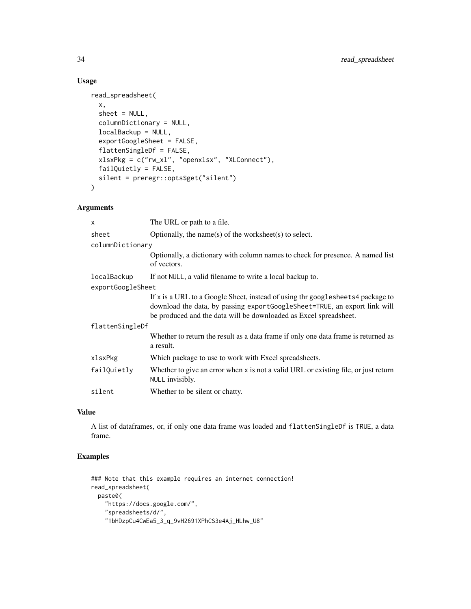# Usage

```
read_spreadsheet(
 x,
  sheet = NULL,
 columnDictionary = NULL,
 localBackup = NULL,
  exportGoogleSheet = FALSE,
  flattenSingleDf = FALSE,
  xlsxPkg = c("rw_xl", "openxlsx", "XLConnect"),
 failQuietly = FALSE,
  silent = preregr::opts$get("silent")
)
```
# Arguments

| X                 | The URL or path to a file.                                                                                                                                                                                                       |  |
|-------------------|----------------------------------------------------------------------------------------------------------------------------------------------------------------------------------------------------------------------------------|--|
| sheet             | Optionally, the name(s) of the worksheet(s) to select.                                                                                                                                                                           |  |
| columnDictionary  |                                                                                                                                                                                                                                  |  |
|                   | Optionally, a dictionary with column names to check for presence. A named list<br>of vectors.                                                                                                                                    |  |
| localBackup       | If not NULL, a valid filename to write a local backup to.                                                                                                                                                                        |  |
| exportGoogleSheet |                                                                                                                                                                                                                                  |  |
|                   | If x is a URL to a Google Sheet, instead of using thr googlesheets4 package to<br>download the data, by passing exportGoogleSheet=TRUE, an export link will<br>be produced and the data will be downloaded as Excel spreadsheet. |  |
| flattenSingleDf   |                                                                                                                                                                                                                                  |  |
|                   | Whether to return the result as a data frame if only one data frame is returned as<br>a result.                                                                                                                                  |  |
| xlsxPkg           | Which package to use to work with Excel spreadsheets.                                                                                                                                                                            |  |
| failQuietly       | Whether to give an error when $x$ is not a valid URL or existing file, or just return<br>NULL invisibly.                                                                                                                         |  |
| silent            | Whether to be silent or chatty.                                                                                                                                                                                                  |  |
|                   |                                                                                                                                                                                                                                  |  |

#### Value

A list of dataframes, or, if only one data frame was loaded and flattenSingleDf is TRUE, a data frame.

```
### Note that this example requires an internet connection!
read_spreadsheet(
  paste0(
    "https://docs.google.com/",
    "spreadsheets/d/",
    "1bHDzpCu4CwEa5_3_q_9vH2691XPhCS3e4Aj_HLhw_U8"
```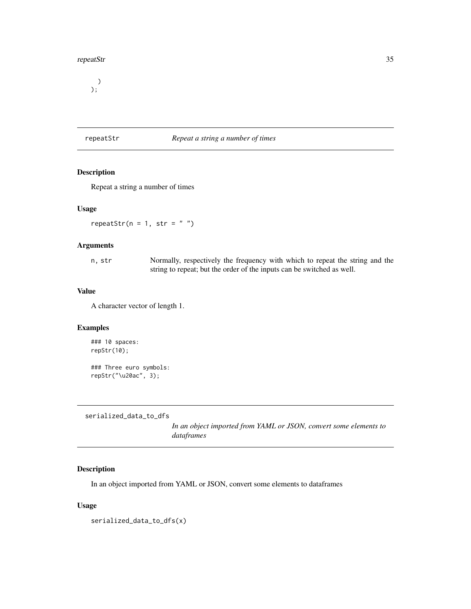#### <span id="page-34-0"></span>repeatStr 35

) );

# repeatStr *Repeat a string a number of times*

# Description

Repeat a string a number of times

#### Usage

repeatStr( $n = 1$ , str = " ")

# Arguments

| n, str | Normally, respectively the frequency with which to repeat the string and the |
|--------|------------------------------------------------------------------------------|
|        | string to repeat; but the order of the inputs can be switched as well.       |

## Value

A character vector of length 1.

# Examples

```
### 10 spaces:
repStr(10);
### Three euro symbols:
repStr("\u20ac", 3);
```

```
serialized_data_to_dfs
```
*In an object imported from YAML or JSON, convert some elements to dataframes*

# Description

In an object imported from YAML or JSON, convert some elements to dataframes

#### Usage

```
serialized_data_to_dfs(x)
```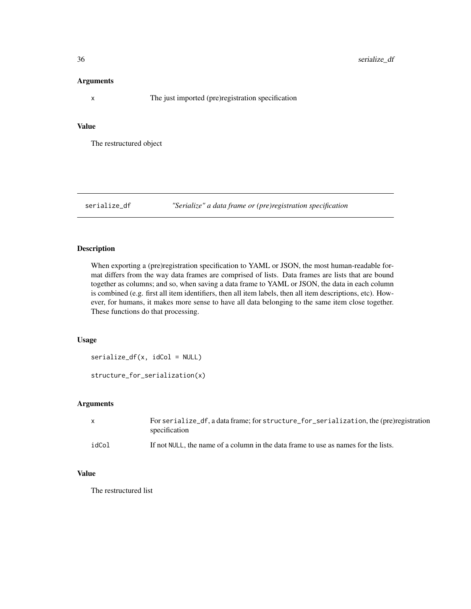#### <span id="page-35-0"></span>Arguments

x The just imported (pre)registration specification

# Value

The restructured object

serialize\_df *"Serialize" a data frame or (pre)registration specification*

# Description

When exporting a (pre)registration specification to YAML or JSON, the most human-readable format differs from the way data frames are comprised of lists. Data frames are lists that are bound together as columns; and so, when saving a data frame to YAML or JSON, the data in each column is combined (e.g. first all item identifiers, then all item labels, then all item descriptions, etc). However, for humans, it makes more sense to have all data belonging to the same item close together. These functions do that processing.

# Usage

```
serialize_df(x, idCol = NULL)
```

```
structure_for_serialization(x)
```
#### Arguments

| $\mathsf{x}$ | For serialize_df, a data frame; for structure_for_serialization, the (pre)registration<br>specification |
|--------------|---------------------------------------------------------------------------------------------------------|
| idCol        | If not NULL, the name of a column in the data frame to use as names for the lists.                      |

# Value

The restructured list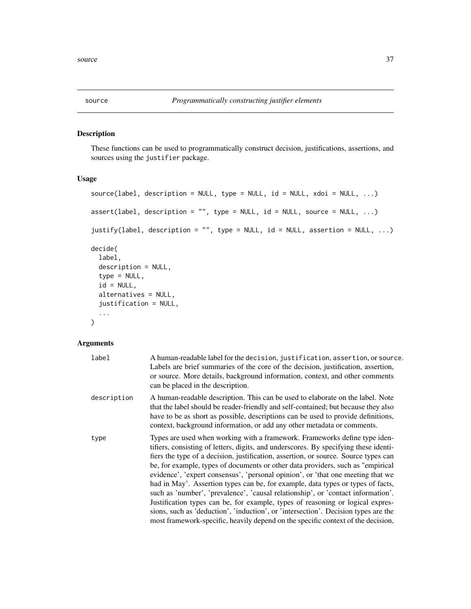<span id="page-36-0"></span>

#### Description

These functions can be used to programmatically construct decision, justifications, assertions, and sources using the justifier package.

# Usage

```
source(label, description = NULL, type = NULL, id = NULL, xdoi = NULL, ...)
assert(label, description = "", type = NULL, id = NULL, source = NULL, ...)justify(label, description = ", type = NULL, id = NULL, assertion = NULL, ...)
decide(
 label,
 description = NULL,
 type = NULL,
 id = NULL,alternatives = NULL,
  justification = NULL,
  ...
)
```
# Arguments

| label       | A human-readable label for the decision, justification, assertion, or source.<br>Labels are brief summaries of the core of the decision, justification, assertion,<br>or source. More details, background information, context, and other comments<br>can be placed in the description.                                                                                                                                                                                                                                                                                                                                                                                                                                                                                                                                                                            |
|-------------|--------------------------------------------------------------------------------------------------------------------------------------------------------------------------------------------------------------------------------------------------------------------------------------------------------------------------------------------------------------------------------------------------------------------------------------------------------------------------------------------------------------------------------------------------------------------------------------------------------------------------------------------------------------------------------------------------------------------------------------------------------------------------------------------------------------------------------------------------------------------|
| description | A human-readable description. This can be used to elaborate on the label. Note<br>that the label should be reader-friendly and self-contained; but because they also<br>have to be as short as possible, descriptions can be used to provide definitions,<br>context, background information, or add any other metadata or comments.                                                                                                                                                                                                                                                                                                                                                                                                                                                                                                                               |
| type        | Types are used when working with a framework. Frameworks define type iden-<br>tifiers, consisting of letters, digits, and underscores. By specifying these identi-<br>fiers the type of a decision, justification, assertion, or source. Source types can<br>be, for example, types of documents or other data providers, such as "empirical<br>evidence', 'expert consensus', 'personal opinion', or 'that one meeting that we<br>had in May'. Assertion types can be, for example, data types or types of facts,<br>such as 'number', 'prevalence', 'causal relationship', or 'contact information'.<br>Justification types can be, for example, types of reasoning or logical expres-<br>sions, such as 'deduction', 'induction', or 'intersection'. Decision types are the<br>most framework-specific, heavily depend on the specific context of the decision, |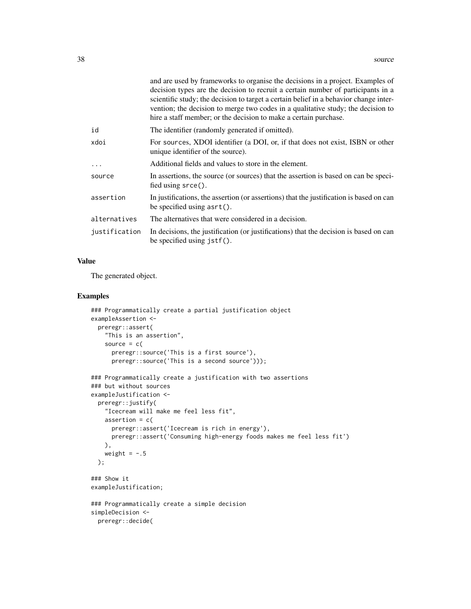|               | and are used by frameworks to organise the decisions in a project. Examples of<br>decision types are the decision to recruit a certain number of participants in a<br>scientific study; the decision to target a certain belief in a behavior change inter-<br>vention; the decision to merge two codes in a qualitative study; the decision to<br>hire a staff member; or the decision to make a certain purchase. |
|---------------|---------------------------------------------------------------------------------------------------------------------------------------------------------------------------------------------------------------------------------------------------------------------------------------------------------------------------------------------------------------------------------------------------------------------|
| id            | The identifier (randomly generated if omitted).                                                                                                                                                                                                                                                                                                                                                                     |
| xdoi          | For sources, XDOI identifier (a DOI, or, if that does not exist, ISBN or other<br>unique identifier of the source).                                                                                                                                                                                                                                                                                                 |
| .             | Additional fields and values to store in the element.                                                                                                                                                                                                                                                                                                                                                               |
| source        | In assertions, the source (or sources) that the assertion is based on can be speci-<br>fied using $srce()$ .                                                                                                                                                                                                                                                                                                        |
| assertion     | In justifications, the assertion (or assertions) that the justification is based on can<br>be specified using $a$ srt $()$ .                                                                                                                                                                                                                                                                                        |
| alternatives  | The alternatives that were considered in a decision.                                                                                                                                                                                                                                                                                                                                                                |
| justification | In decisions, the justification (or justifications) that the decision is based on can<br>be specified using $jstf()$ .                                                                                                                                                                                                                                                                                              |

#### Value

The generated object.

```
### Programmatically create a partial justification object
exampleAssertion <-
  preregr::assert(
    "This is an assertion",
   source = c(preregr::source('This is a first source'),
      preregr::source('This is a second source')));
### Programmatically create a justification with two assertions
### but without sources
exampleJustification <-
  preregr::justify(
   "Icecream will make me feel less fit",
   assertion = c(preregr::assert('Icecream is rich in energy'),
     preregr::assert('Consuming high-energy foods makes me feel less fit')
   ),
   weight = -.5);
### Show it
exampleJustification;
### Programmatically create a simple decision
simpleDecision <-
  preregr::decide(
```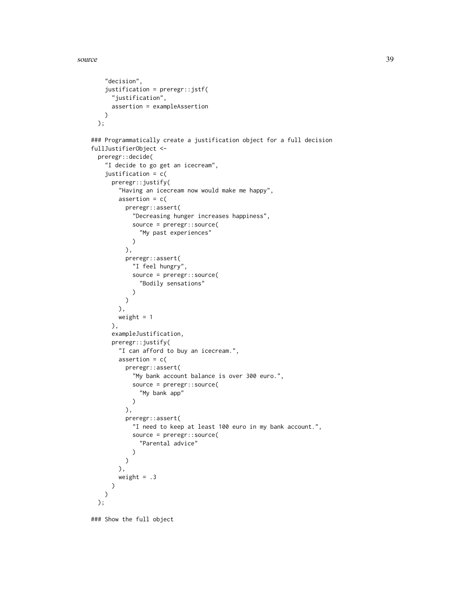#### source 39

```
"decision",
    justification = preregr::jstf(
     "justification",
      assertion = exampleAssertion
   )
 );
### Programmatically create a justification object for a full decision
fullJustifierObject <-
 preregr::decide(
    "I decide to go get an icecream",
    justification = c(
      preregr::justify(
        "Having an icecream now would make me happy",
        assertion = c(preregr::assert(
            "Decreasing hunger increases happiness",
            source = preregr::source(
              "My past experiences"
            )
          ),
          preregr::assert(
           "I feel hungry",
            source = preregr::source(
              "Bodily sensations"
            )
          \lambda),
       weight = 1
      ),
      exampleJustification,
      preregr::justify(
        "I can afford to buy an icecream.",
        assertion = c(preregr::assert(
            "My bank account balance is over 300 euro.",
            source = preregr::source(
              "My bank app"
            )
          ),
          preregr::assert(
            "I need to keep at least 100 euro in my bank account.",
            source = preregr::source(
              "Parental advice"
            )
         )
       ),
       weight = .3\lambda)
 );
```
### Show the full object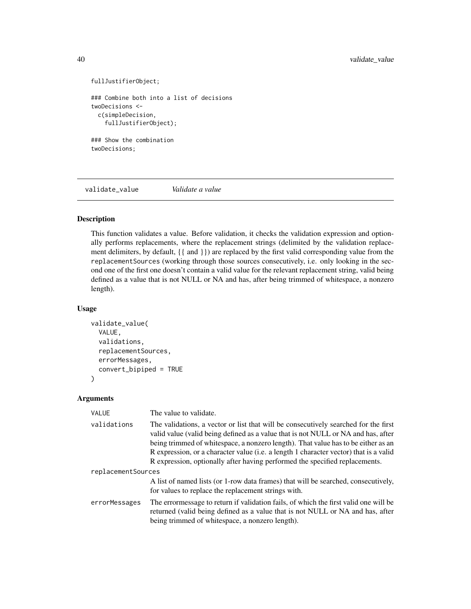```
fullJustifierObject;
### Combine both into a list of decisions
twoDecisions <-
 c(simpleDecision,
    fullJustifierObject);
### Show the combination
twoDecisions;
```
validate\_value *Validate a value*

#### Description

This function validates a value. Before validation, it checks the validation expression and optionally performs replacements, where the replacement strings (delimited by the validation replacement delimiters, by default, {{ and }}) are replaced by the first valid corresponding value from the replacementSources (working through those sources consecutively, i.e. only looking in the second one of the first one doesn't contain a valid value for the relevant replacement string, valid being defined as a value that is not NULL or NA and has, after being trimmed of whitespace, a nonzero length).

#### Usage

```
validate_value(
  VALUE,
  validations,
  replacementSources,
  errorMessages,
  convert_bipiped = TRUE
)
```
#### Arguments

| VALUE              | The value to validate.                                                                                                                                                                                                                                                                                                                                                                                                                |
|--------------------|---------------------------------------------------------------------------------------------------------------------------------------------------------------------------------------------------------------------------------------------------------------------------------------------------------------------------------------------------------------------------------------------------------------------------------------|
| validations        | The validations, a vector or list that will be consecutively searched for the first<br>valid value (valid being defined as a value that is not NULL or NA and has, after<br>being trimmed of whitespace, a nonzero length). That value has to be either as an<br>R expression, or a character value (i.e. a length 1 character vector) that is a valid<br>R expression, optionally after having performed the specified replacements. |
| replacementSources |                                                                                                                                                                                                                                                                                                                                                                                                                                       |
|                    | A list of named lists (or 1-row data frames) that will be searched, consecutively,<br>for values to replace the replacement strings with.                                                                                                                                                                                                                                                                                             |
| errorMessages      | The errormessage to return if validation fails, of which the first valid one will be<br>returned (valid being defined as a value that is not NULL or NA and has, after<br>being trimmed of whitespace, a nonzero length).                                                                                                                                                                                                             |

<span id="page-39-0"></span>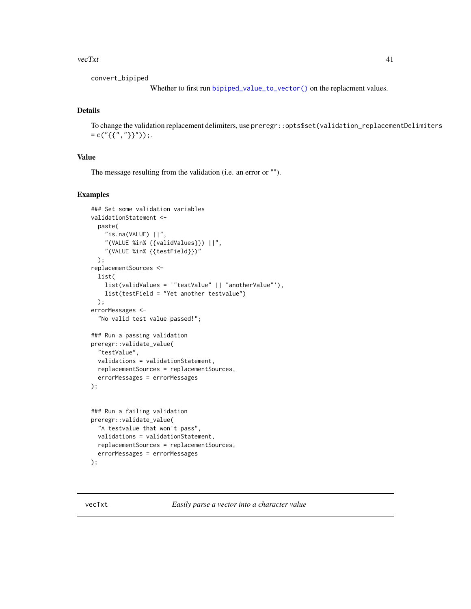#### <span id="page-40-0"></span> $\text{vec}$ Xt  $\text{vec}$

convert\_bipiped

Whether to first run [bipiped\\_value\\_to\\_vector\(\)](#page-2-1) on the replacment values.

# Details

To change the validation replacement delimiters, use preregr::opts\$set(validation\_replacementDelimiters  $= c("{\{}'', "}{\})$ "));.

# Value

The message resulting from the validation (i.e. an error or "").

### Examples

```
### Set some validation variables
validationStatement <-
  paste(
    "is.na(VALUE) ||",
    "(VALUE %in% {{validValues}}) ||",
    "(VALUE %in% {{testField}})"
  );
replacementSources <-
  list(
   list(validValues = '"testValue" || "anotherValue"'),
   list(testField = "Yet another testvalue")
  );
errorMessages <-
  "No valid test value passed!";
### Run a passing validation
preregr::validate_value(
  "testValue",
  validations = validationStatement,
  replacementSources = replacementSources,
  errorMessages = errorMessages
);
### Run a failing validation
preregr::validate_value(
  "A testvalue that won't pass",
  validations = validationStatement,
  replacementSources = replacementSources,
  errorMessages = errorMessages
);
```
vecTxt *Easily parse a vector into a character value*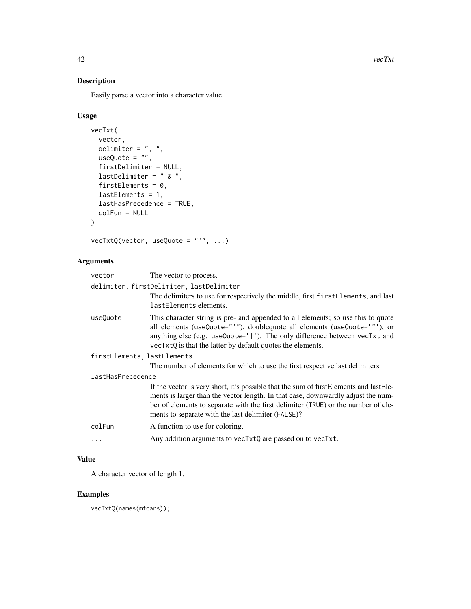42 vecTxt

# Description

Easily parse a vector into a character value

# Usage

```
vecTxt(
  vector,
  delimiter = ", ",
  useQuote = ",
  firstDelimiter = NULL,
  lastDelimiter = " & ",
  firstElements = 0,
  lastElements = 1,
  lastHasPrecedence = TRUE,
  colFun = NULL
\mathcal{L}
```
vecTxtQ(vector, useQuote = "'", ...)

# Arguments

| vector                      | The vector to process.                                                                                                                                                                                                                                                                                               |  |
|-----------------------------|----------------------------------------------------------------------------------------------------------------------------------------------------------------------------------------------------------------------------------------------------------------------------------------------------------------------|--|
|                             | delimiter, firstDelimiter, lastDelimiter                                                                                                                                                                                                                                                                             |  |
|                             | The delimiters to use for respectively the middle, first first Elements, and last<br>lastElements elements.                                                                                                                                                                                                          |  |
| useQuote                    | This character string is pre- and appended to all elements; so use this to quote<br>all elements (useQuote="'"), doublequote all elements (useQuote='"'), or<br>anything else (e.g. useQuote=' '). The only difference between vecTxt and<br>vecTxtQ is that the latter by default quotes the elements.              |  |
| firstElements, lastElements |                                                                                                                                                                                                                                                                                                                      |  |
|                             | The number of elements for which to use the first respective last delimiters                                                                                                                                                                                                                                         |  |
| lastHasPrecedence           |                                                                                                                                                                                                                                                                                                                      |  |
|                             | If the vector is very short, it's possible that the sum of firstElements and lastEle-<br>ments is larger than the vector length. In that case, downwardly adjust the num-<br>ber of elements to separate with the first delimiter (TRUE) or the number of ele-<br>ments to separate with the last delimiter (FALSE)? |  |
| colFun                      | A function to use for coloring.                                                                                                                                                                                                                                                                                      |  |
| $\cdots$                    | Any addition arguments to vecTxtQ are passed on to vecTxt.                                                                                                                                                                                                                                                           |  |
|                             |                                                                                                                                                                                                                                                                                                                      |  |

# Value

A character vector of length 1.

# Examples

vecTxtQ(names(mtcars));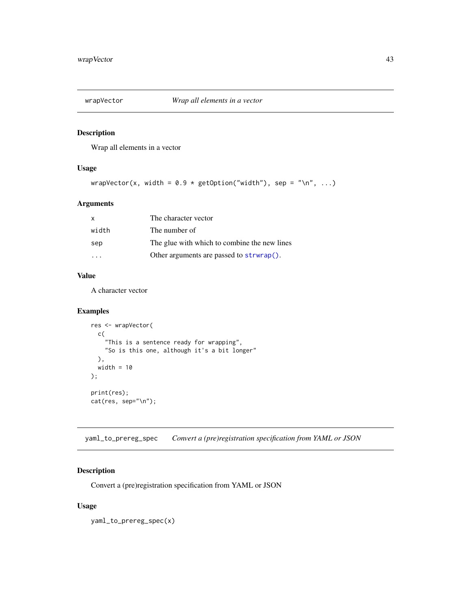<span id="page-42-0"></span>

# Description

Wrap all elements in a vector

# Usage

```
wrapVector(x, width = 0.9 * getOption("width"), sep = "\\n", ...)
```
# Arguments

| X     | The character vector                         |
|-------|----------------------------------------------|
| width | The number of                                |
| sep   | The glue with which to combine the new lines |
|       | Other arguments are passed to strwrap().     |

#### Value

A character vector

# Examples

```
res <- wrapVector(
  c(
   "This is a sentence ready for wrapping",
   "So is this one, although it's a bit longer"
  ),
  width = 10);
print(res);
cat(res, sep="\n");
```
yaml\_to\_prereg\_spec *Convert a (pre)registration specification from YAML or JSON*

# Description

Convert a (pre)registration specification from YAML or JSON

# Usage

yaml\_to\_prereg\_spec(x)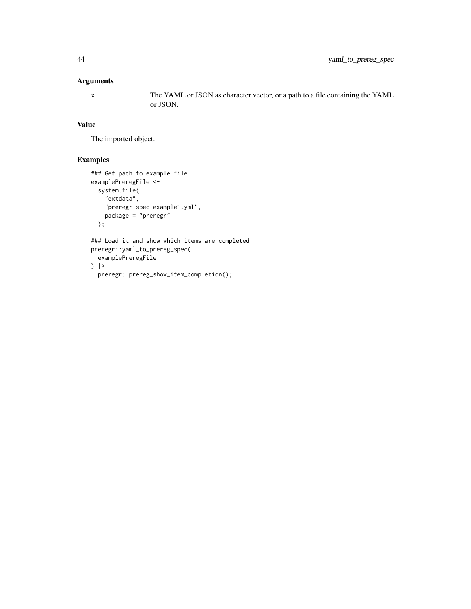# Arguments

x The YAML or JSON as character vector, or a path to a file containing the YAML or JSON.

# Value

The imported object.

```
### Get path to example file
examplePreregFile <-
  system.file(
    "extdata",
    "preregr-spec-example1.yml",
   package = "preregr"
  );
### Load it and show which items are completed
```

```
preregr::yaml_to_prereg_spec(
  examplePreregFile
) |>
  preregr::prereg_show_item_completion();
```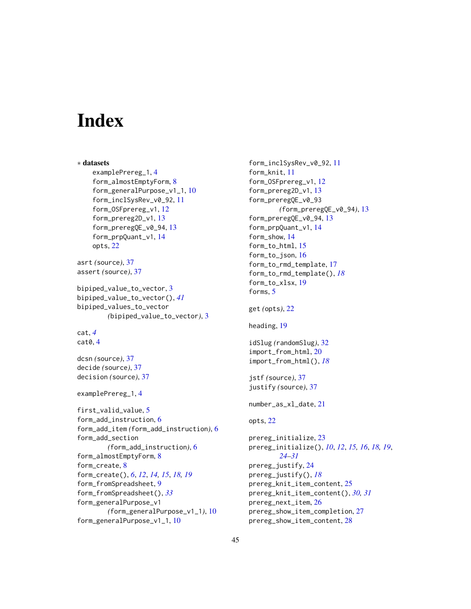# <span id="page-44-0"></span>**Index**

∗ datasets examplePrereg\_1, [4](#page-3-0) form\_almostEmptyForm, [8](#page-7-0) form\_generalPurpose\_v1\_1, [10](#page-9-0) form\_inclSysRev\_v0\_92, [11](#page-10-0) form\_OSFprereg\_v1, [12](#page-11-0) form\_prereg2D\_v1, [13](#page-12-0) form\_preregQE\_v0\_94, [13](#page-12-0) form\_prpQuant\_v1, [14](#page-13-0) opts, [22](#page-21-0) asrt *(*source*)*, [37](#page-36-0) assert *(*source*)*, [37](#page-36-0) bipiped\_value\_to\_vector, [3](#page-2-0) bipiped\_value\_to\_vector(), *[41](#page-40-0)* bipiped\_values\_to\_vector *(*bipiped\_value\_to\_vector*)*, [3](#page-2-0) cat, *[4](#page-3-0)* cat0, [4](#page-3-0) dcsn *(*source*)*, [37](#page-36-0) decide *(*source*)*, [37](#page-36-0) decision *(*source*)*, [37](#page-36-0) examplePrereg\_1, [4](#page-3-0) first\_valid\_value, [5](#page-4-0) form\_add\_instruction, [6](#page-5-0) form\_add\_item *(*form\_add\_instruction*)*, [6](#page-5-0) form\_add\_section *(*form\_add\_instruction*)*, [6](#page-5-0) form\_almostEmptyForm, [8](#page-7-0) form\_create, [8](#page-7-0) form\_create(), *[6](#page-5-0)*, *[12](#page-11-0)*, *[14,](#page-13-0) [15](#page-14-0)*, *[18,](#page-17-0) [19](#page-18-0)* form\_fromSpreadsheet, [9](#page-8-0) form\_fromSpreadsheet(), *[33](#page-32-0)* form\_generalPurpose\_v1 *(*form\_generalPurpose\_v1\_1*)*, [10](#page-9-0) form\_generalPurpose\_v1\_1, [10](#page-9-0)

form\_inclSysRev\_v0\_92, [11](#page-10-0) form\_knit, [11](#page-10-0) form\_OSFprereg\_v1, [12](#page-11-0) form\_prereg2D\_v1, [13](#page-12-0) form\_preregQE\_v0\_93 *(*form\_preregQE\_v0\_94*)*, [13](#page-12-0) form\_preregQE\_v0\_94, [13](#page-12-0) form\_prpQuant\_v1, [14](#page-13-0) form\_show, [14](#page-13-0) form\_to\_html, [15](#page-14-0) form\_to\_json, [16](#page-15-0) form\_to\_rmd\_template, [17](#page-16-0) form\_to\_rmd\_template(), *[18](#page-17-0)* form\_to\_xlsx, [19](#page-18-0) forms, [5](#page-4-0) get *(*opts*)*, [22](#page-21-0) heading, [19](#page-18-0) idSlug *(*randomSlug*)*, [32](#page-31-0) import\_from\_html, [20](#page-19-0) import\_from\_html(), *[18](#page-17-0)* jstf *(*source*)*, [37](#page-36-0) justify *(*source*)*, [37](#page-36-0) number\_as\_xl\_date, [21](#page-20-0) opts, [22](#page-21-0) prereg\_initialize, [23](#page-22-0) prereg\_initialize(), *[10](#page-9-0)*, *[12](#page-11-0)*, *[15,](#page-14-0) [16](#page-15-0)*, *[18,](#page-17-0) [19](#page-18-0)*, *[24](#page-23-0)[–31](#page-30-0)* prereg\_justify, [24](#page-23-0) prereg\_justify(), *[18](#page-17-0)* prereg\_knit\_item\_content, [25](#page-24-0) prereg\_knit\_item\_content(), *[30,](#page-29-0) [31](#page-30-0)* prereg\_next\_item, [26](#page-25-0) prereg\_show\_item\_completion, [27](#page-26-0)

prereg\_show\_item\_content, [28](#page-27-0)